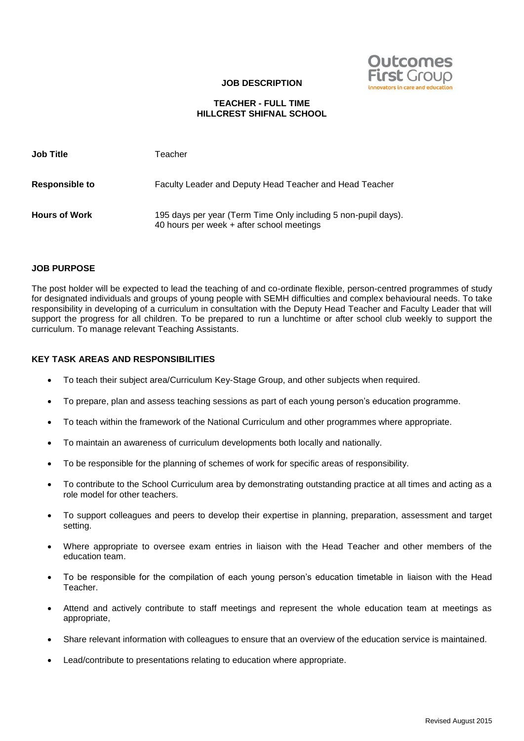

#### **JOB DESCRIPTION**

### **TEACHER - FULL TIME HILLCREST SHIFNAL SCHOOL**

| <b>Job Title</b>      | Teacher                                                                                                     |
|-----------------------|-------------------------------------------------------------------------------------------------------------|
| <b>Responsible to</b> | Faculty Leader and Deputy Head Teacher and Head Teacher                                                     |
| <b>Hours of Work</b>  | 195 days per year (Term Time Only including 5 non-pupil days).<br>40 hours per week + after school meetings |

#### **JOB PURPOSE**

The post holder will be expected to lead the teaching of and co-ordinate flexible, person-centred programmes of study for designated individuals and groups of young people with SEMH difficulties and complex behavioural needs. To take responsibility in developing of a curriculum in consultation with the Deputy Head Teacher and Faculty Leader that will support the progress for all children. To be prepared to run a lunchtime or after school club weekly to support the curriculum. To manage relevant Teaching Assistants.

### **KEY TASK AREAS AND RESPONSIBILITIES**

- To teach their subject area/Curriculum Key-Stage Group, and other subjects when required.
- To prepare, plan and assess teaching sessions as part of each young person's education programme.
- To teach within the framework of the National Curriculum and other programmes where appropriate.
- To maintain an awareness of curriculum developments both locally and nationally.
- To be responsible for the planning of schemes of work for specific areas of responsibility.
- To contribute to the School Curriculum area by demonstrating outstanding practice at all times and acting as a role model for other teachers.
- To support colleagues and peers to develop their expertise in planning, preparation, assessment and target setting.
- Where appropriate to oversee exam entries in liaison with the Head Teacher and other members of the education team.
- To be responsible for the compilation of each young person's education timetable in liaison with the Head Teacher.
- Attend and actively contribute to staff meetings and represent the whole education team at meetings as appropriate,
- Share relevant information with colleagues to ensure that an overview of the education service is maintained.
- Lead/contribute to presentations relating to education where appropriate.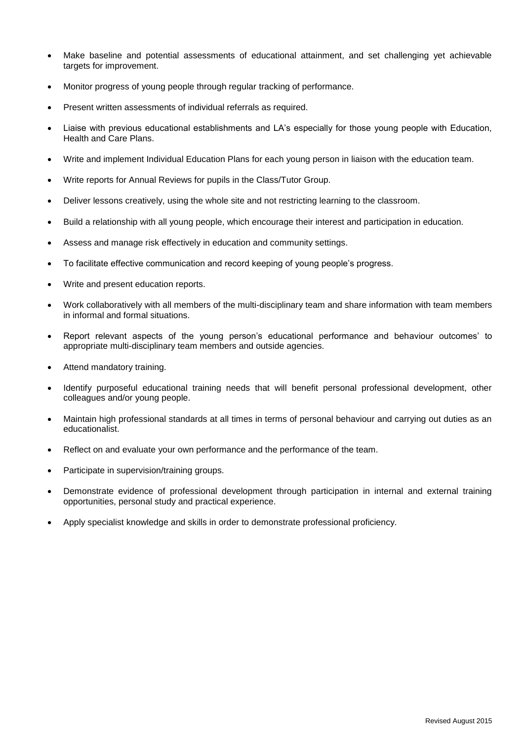- Make baseline and potential assessments of educational attainment, and set challenging yet achievable targets for improvement.
- Monitor progress of young people through regular tracking of performance.
- Present written assessments of individual referrals as required.
- Liaise with previous educational establishments and LA's especially for those young people with Education, Health and Care Plans.
- Write and implement Individual Education Plans for each young person in liaison with the education team.
- Write reports for Annual Reviews for pupils in the Class/Tutor Group.
- Deliver lessons creatively, using the whole site and not restricting learning to the classroom.
- Build a relationship with all young people, which encourage their interest and participation in education.
- Assess and manage risk effectively in education and community settings.
- To facilitate effective communication and record keeping of young people's progress.
- Write and present education reports.
- Work collaboratively with all members of the multi-disciplinary team and share information with team members in informal and formal situations.
- Report relevant aspects of the young person's educational performance and behaviour outcomes' to appropriate multi-disciplinary team members and outside agencies.
- Attend mandatory training.
- Identify purposeful educational training needs that will benefit personal professional development, other colleagues and/or young people.
- Maintain high professional standards at all times in terms of personal behaviour and carrying out duties as an educationalist.
- Reflect on and evaluate your own performance and the performance of the team.
- Participate in supervision/training groups.
- Demonstrate evidence of professional development through participation in internal and external training opportunities, personal study and practical experience.
- Apply specialist knowledge and skills in order to demonstrate professional proficiency.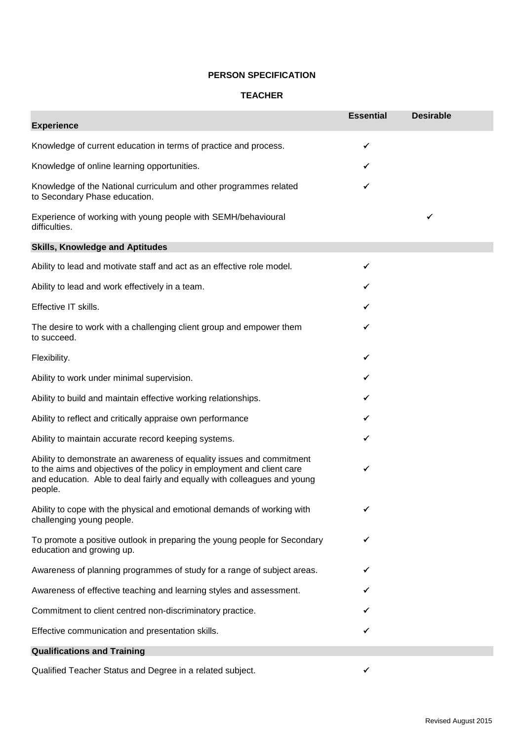## **PERSON SPECIFICATION**

### **TEACHER**

| <b>Experience</b>                                                                                                                                                                                                                      | <b>Essential</b> | <b>Desirable</b> |
|----------------------------------------------------------------------------------------------------------------------------------------------------------------------------------------------------------------------------------------|------------------|------------------|
| Knowledge of current education in terms of practice and process.                                                                                                                                                                       | ✓                |                  |
| Knowledge of online learning opportunities.                                                                                                                                                                                            |                  |                  |
| Knowledge of the National curriculum and other programmes related<br>to Secondary Phase education.                                                                                                                                     | ✓                |                  |
| Experience of working with young people with SEMH/behavioural<br>difficulties.                                                                                                                                                         |                  | ✓                |
| <b>Skills, Knowledge and Aptitudes</b>                                                                                                                                                                                                 |                  |                  |
| Ability to lead and motivate staff and act as an effective role model.                                                                                                                                                                 | ✓                |                  |
| Ability to lead and work effectively in a team.                                                                                                                                                                                        | ✓                |                  |
| Effective IT skills.                                                                                                                                                                                                                   | ✓                |                  |
| The desire to work with a challenging client group and empower them<br>to succeed.                                                                                                                                                     |                  |                  |
| Flexibility.                                                                                                                                                                                                                           |                  |                  |
| Ability to work under minimal supervision.                                                                                                                                                                                             |                  |                  |
| Ability to build and maintain effective working relationships.                                                                                                                                                                         |                  |                  |
| Ability to reflect and critically appraise own performance                                                                                                                                                                             |                  |                  |
| Ability to maintain accurate record keeping systems.                                                                                                                                                                                   | ✓                |                  |
| Ability to demonstrate an awareness of equality issues and commitment<br>to the aims and objectives of the policy in employment and client care<br>and education. Able to deal fairly and equally with colleagues and young<br>people. | ✓                |                  |
| Ability to cope with the physical and emotional demands of working with<br>challenging young people.                                                                                                                                   | ✓                |                  |
| To promote a positive outlook in preparing the young people for Secondary<br>education and growing up.                                                                                                                                 | ✓                |                  |
| Awareness of planning programmes of study for a range of subject areas.                                                                                                                                                                |                  |                  |
| Awareness of effective teaching and learning styles and assessment.                                                                                                                                                                    |                  |                  |
| Commitment to client centred non-discriminatory practice.                                                                                                                                                                              |                  |                  |
| Effective communication and presentation skills.                                                                                                                                                                                       |                  |                  |
| <b>Qualifications and Training</b>                                                                                                                                                                                                     |                  |                  |

Qualified Teacher Status and Degree in a related subject.